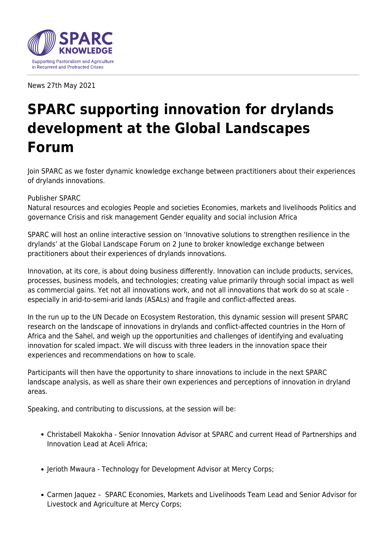

News 27th May 2021

## **SPARC supporting innovation for drylands development at the Global Landscapes Forum**

Join SPARC as we foster dynamic knowledge exchange between practitioners about their experiences of drylands innovations.

## Publisher SPARC

Natural resources and ecologies People and societies Economies, markets and livelihoods Politics and governance Crisis and risk management Gender equality and social inclusion Africa

SPARC will host an online interactive session on 'Innovative solutions to strengthen resilience in the drylands' at the Global Landscape Forum on 2 June to broker knowledge exchange between practitioners about their experiences of drylands innovations.

Innovation, at its core, is about doing business differently. Innovation can include products, services, processes, business models, and technologies; creating value primarily through social impact as well as commercial gains. Yet not all innovations work, and not all innovations that work do so at scale especially in arid-to-semi-arid lands (ASALs) and fragile and conflict-affected areas.

In the run up to the UN Decade on Ecosystem Restoration, this dynamic session will present SPARC research on the landscape of innovations in drylands and conflict-affected countries in the Horn of Africa and the Sahel, and weigh up the opportunities and challenges of identifying and evaluating innovation for scaled impact. We will discuss with three leaders in the innovation space their experiences and recommendations on how to scale.

Participants will then have the opportunity to share innovations to include in the next SPARC landscape analysis, as well as share their own experiences and perceptions of innovation in dryland areas.

Speaking, and contributing to discussions, at the session will be:

- Christabell Makokha Senior Innovation Advisor at SPARC and current Head of Partnerships and Innovation Lead at Aceli Africa;
- Jerioth Mwaura Technology for Development Advisor at Mercy Corps;
- Carmen Jaquez SPARC Economies, Markets and Livelihoods Team Lead and Senior Advisor for Livestock and Agriculture at Mercy Corps;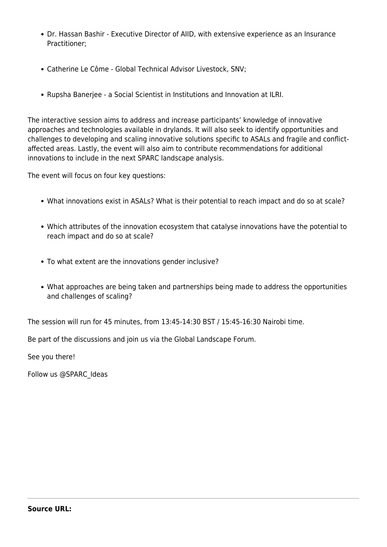- Dr. Hassan Bashir Executive Director of AIID, with extensive experience as an Insurance Practitioner;
- Catherine Le Côme Global Technical Advisor Livestock, SNV;
- Rupsha Banerjee a Social Scientist in Institutions and Innovation at ILRI.

The interactive session aims to address and increase participants' knowledge of innovative approaches and technologies available in drylands. It will also seek to identify opportunities and challenges to developing and scaling innovative solutions specific to ASALs and fragile and conflictaffected areas. Lastly, the event will also aim to contribute recommendations for additional innovations to include in the next SPARC landscape analysis.

The event will focus on four key questions:

- What innovations exist in ASALs? What is their potential to reach impact and do so at scale?
- Which attributes of the innovation ecosystem that catalyse innovations have the potential to reach impact and do so at scale?
- To what extent are the innovations gender inclusive?
- What approaches are being taken and partnerships being made to address the opportunities and challenges of scaling?

The session will run for 45 minutes, from 13:45-14:30 BST / 15:45-16:30 Nairobi time.

Be part of the discussions and join us via the Global Landscape Forum.

See you there!

Follow us @SPARC\_Ideas